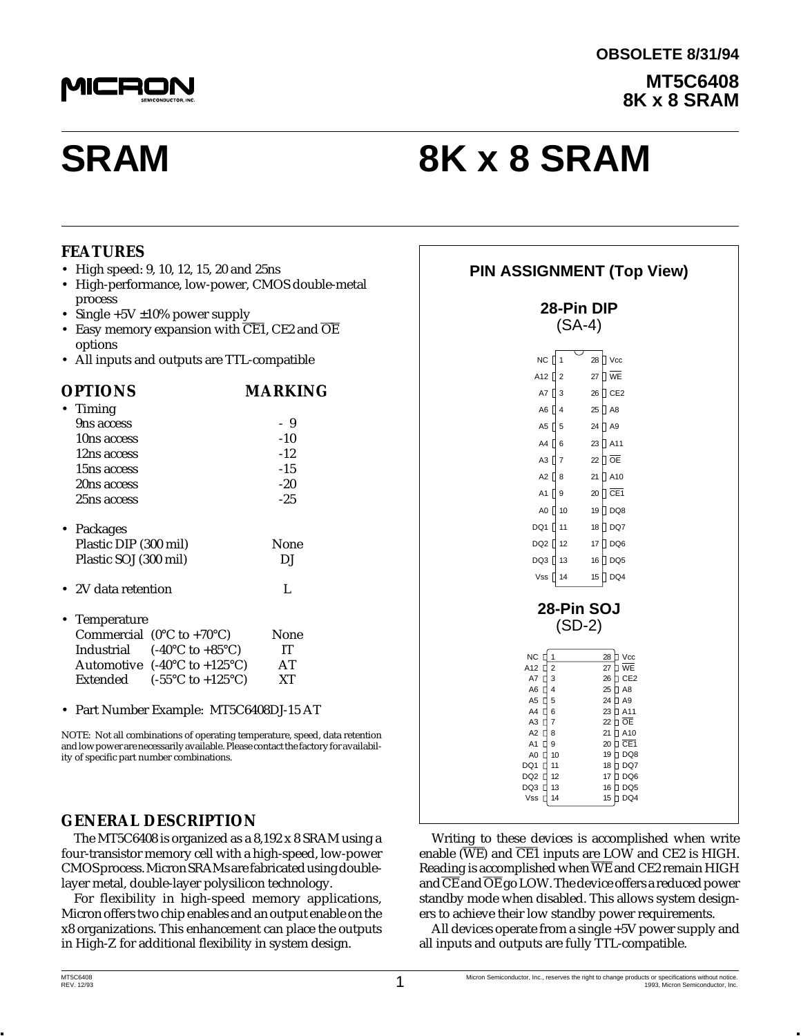

# **SRAM 8K x 8 SRAM**

#### **FEATURES**

- High speed: 9, 10, 12, 15, 20 and 25ns
- High-performance, low-power, CMOS double-metal process
- Single  $+5V \pm 10\%$  power supply
- Easy memory expansion with  $\overline{\text{CE1}}$ , CE2 and  $\overline{\text{OE}}$ options
- All inputs and outputs are TTL-compatible

| <b>OPTIONS</b>                                         | MARKING |
|--------------------------------------------------------|---------|
| Timing                                                 |         |
| 9ns access                                             | -9      |
| 10ns access                                            | $-10$   |
| 12ns access                                            | $-12.$  |
| 15ns access                                            | -15     |
| 20ns access                                            | $-20$   |
| 25ns access                                            | $-2.5$  |
| • Packages                                             |         |
| Plastic DIP (300 mil)                                  | None    |
| Plastic SOJ (300 mil)                                  | DJ      |
| • 2V data retention                                    | L       |
| • Temperature                                          |         |
| Commercial $(0^{\circ}C$ to +70 $^{\circ}C)$           | None    |
| Industrial $(-40^{\circ}C \text{ to } +85^{\circ}C)$   | IT      |
| Automotive $(-40^{\circ}C \text{ to } +125^{\circ}C)$  | AT      |
| Extended<br>$(-55^{\circ}C \text{ to } +125^{\circ}C)$ | XТ      |
|                                                        |         |

• Part Number Example: MT5C6408DJ-15 AT

NOTE: Not all combinations of operating temperature, speed, data retention and low power are necessarily available. Please contact the factory for availability of specific part number combinations.

#### **GENERAL DESCRIPTION**

The MT5C6408 is organized as a 8,192 x 8 SRAM using a four-transistor memory cell with a high-speed, low-power CMOS process. Micron SRAMs are fabricated using doublelayer metal, double-layer polysilicon technology.

For flexibility in high-speed memory applications, Micron offers two chip enables and an output enable on the x8 organizations. This enhancement can place the outputs in High-Z for additional flexibility in system design. / In<br>ochi<sub>]</sub><br>. Thi:

| <b>PIN ASSIGNMENT (Top View)</b>                                                                                                                                                                                                                                             |                                                                                                                                                                                                                             |
|------------------------------------------------------------------------------------------------------------------------------------------------------------------------------------------------------------------------------------------------------------------------------|-----------------------------------------------------------------------------------------------------------------------------------------------------------------------------------------------------------------------------|
| 28-Pin DIP<br>$(SA-4)$                                                                                                                                                                                                                                                       |                                                                                                                                                                                                                             |
| $NC$ $\vert$ 1<br>A <sub>12</sub> $\vert$ <sub>2</sub><br>A7 $\prod$ 3<br>$AG$   4<br>A5 $\parallel$ 5<br>$A4 \parallel 6$<br>A3 $\P$ 7<br>A2 $\prod$ 8<br>A1 $\prod$ 9<br>A0 10<br>DQ1 11<br>DQ2 12<br>$DQ3$   13<br>Vss  <br>14                                            | $\mathbin{\mathbb{I}}$ Vcc<br>28<br>27   WE<br>26 CE2<br>25   A8<br>$24$   A9<br>23 A11<br>22 $\sqrt{)$ OE<br>21 A10<br>20   CE1<br>19   DQ8<br>18<br>$\Box$ DQ7<br>17<br>∏ DQ6<br>16<br>$\Box$ DQ5<br>$\sqrt{ }$ DQ4<br>15 |
| 28-Pin SOJ<br>$(SD-2)$<br>$NC$ $\Box$ 1<br>A12 <sup>[]</sup><br>$\overline{2}$<br>A7 [<br>3<br>A6 $\Box$ 4<br>A5 0 5<br>A4 <sup>[16</sup><br>$A3$ $\Box$<br>7<br>A2 <sup>[</sup> 8<br>A1 [<br>9<br>A0 O<br>10<br>DQ1 D<br>11<br>DQ2 L<br>12<br>DQ3 []<br>13<br>Vss $\Box$ 14 | 28 D Vcc<br>27 D WE<br>$\Box$ CE2<br>26<br>25 D A8<br>24 D A9<br>23 D A11<br>22 D OE<br>21 日 A10<br>20 D CE1<br>19 DQ8<br>18 D DQ7<br>$\square$ DQ6<br>17<br>16<br>$\square$ DQ5<br>15 DQ4                                  |

Writing to these devices is accomplished when write enable  $(\overline{WE})$  and  $\overline{CE1}$  inputs are LOW and CE2 is HIGH. Reading is accomplished when  $\overline{\text{WE}}$  and CE2 remain HIGH and  $\overline{\text{CE}}$  and  $\overline{\text{OE}}$  go LOW. The device offers a reduced power standby mode when disabled. This allows system designers to achieve their low standby power requirements.

All devices operate from a single +5V power supply and all inputs and outputs are fully TTL-compatible.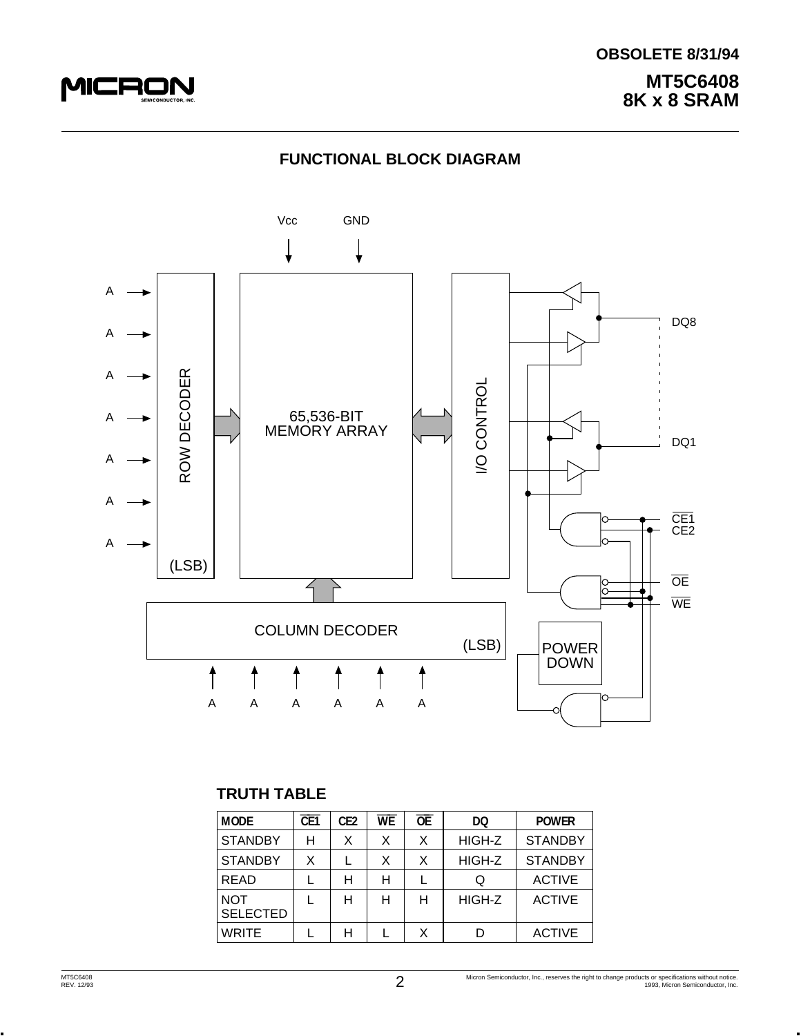

# **MT5C6408 8K x 8 SRAM OBSOLETE 8/31/94**

# **FUNCTIONAL BLOCK DIAGRAM**



# **TRUTH TABLE**

| <b>MODE</b>                   | CE <sub>1</sub> | CE <sub>2</sub> | <b>WE</b> | $\overline{OE}$ | DQ     | <b>POWER</b>   |
|-------------------------------|-----------------|-----------------|-----------|-----------------|--------|----------------|
| <b>STANDBY</b>                | Н               | x               | X         | X               | HIGH-Z | <b>STANDBY</b> |
| <b>STANDBY</b>                | X               |                 | X         | X               | HIGH-Z | <b>STANDBY</b> |
| <b>READ</b>                   |                 | н               | н         |                 | Q      | <b>ACTIVE</b>  |
| <b>NOT</b><br><b>SELECTED</b> |                 | н               | н         | н               | HIGH-Z | <b>ACTIVE</b>  |
| <b>WRITE</b>                  |                 | н               |           | Χ               |        | <b>ACTIVE</b>  |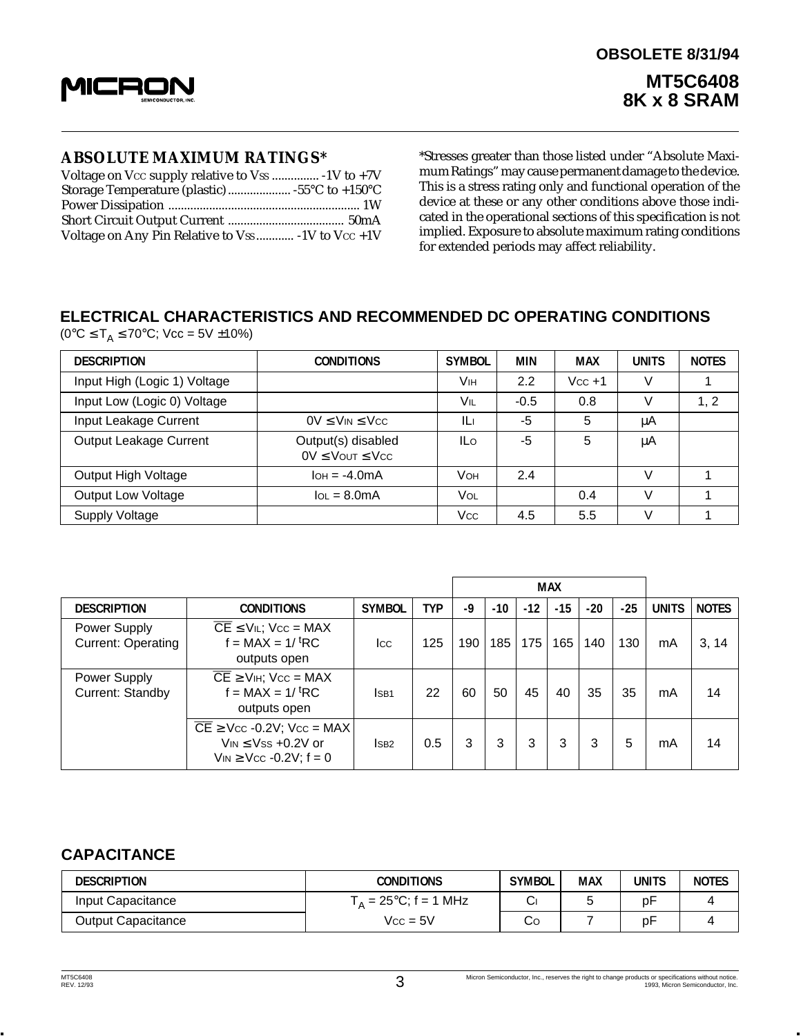

#### **ABSOLUTE MAXIMUM RATINGS\***

| Voltage on Any Pin Relative to Vss  -1V to Vcc +1V |  |
|----------------------------------------------------|--|

\*Stresses greater than those listed under "Absolute Maximum Ratings" may cause permanent damage to the device. This is a stress rating only and functional operation of the device at these or any other conditions above those indicated in the operational sections of this specification is not implied. Exposure to absolute maximum rating conditions for extended periods may affect reliability.

# **ELECTRICAL CHARACTERISTICS AND RECOMMENDED DC OPERATING CONDITIONS**

 $(0^{\circ}C \le T_A \le 70^{\circ}C;$  Vcc = 5V ±10%)

| <b>DESCRIPTION</b>           | <b>CONDITIONS</b>                               | <b>SYMBOL</b> | <b>MIN</b> | <b>MAX</b> | <b>UNITS</b> | <b>NOTES</b> |
|------------------------------|-------------------------------------------------|---------------|------------|------------|--------------|--------------|
| Input High (Logic 1) Voltage |                                                 | Vıн           | 2.2        | $Vcc + 1$  | V            |              |
| Input Low (Logic 0) Voltage  |                                                 | Vıl           | $-0.5$     | 0.8        | V            | 1, 2         |
| Input Leakage Current        | $0V \leq V_{IN} \leq V_{CC}$                    | ILi           | -5         | 5          | μA           |              |
| Output Leakage Current       | Output(s) disabled<br>$0V \leq$ Vout $\leq$ Vcc | ILo           | -5         | 5          | μA           |              |
| Output High Voltage          | $I$ OH = $-4.0$ mA                              | VOH           | 2.4        |            | v            |              |
| <b>Output Low Voltage</b>    | $IOL = 8.0mA$                                   | <b>VOL</b>    |            | 0.4        | V            |              |
| Supply Voltage               |                                                 | Vcc           | 4.5        | 5.5        | v            |              |

|                                           |                                                                                                                  |                  |            |     |       |       | <b>MAX</b> |       |       |              |              |
|-------------------------------------------|------------------------------------------------------------------------------------------------------------------|------------------|------------|-----|-------|-------|------------|-------|-------|--------------|--------------|
| <b>DESCRIPTION</b>                        | <b>CONDITIONS</b>                                                                                                | <b>SYMBOL</b>    | <b>TYP</b> | -9  | $-10$ | $-12$ | $-15$      | $-20$ | $-25$ | <b>UNITS</b> | <b>NOTES</b> |
| Power Supply<br><b>Current: Operating</b> | $\overline{CE}$ $\leq$ V <sub>IL</sub> ; V <sub>CC</sub> = MAX<br>$f = MAX = 1/t RC$<br>outputs open             | Icc              | 125        | 190 | 185   | 175   | 165        | 140   | 130   | mA           | 3, 14        |
| Power Supply<br>Current: Standby          | $\overline{CE}$ $\geq$ V <sub>IH</sub> ; V <sub>CC</sub> = MAX<br>$f = MAX = 1/t RC$<br>outputs open             | ISB <sub>1</sub> | 22         | 60  | 50    | 45    | 40         | 35    | 35    | mA           | 14           |
|                                           | $\overline{CE}$ $\geq$ Vcc -0.2V; Vcc = MAX<br>$V_{IN} \leq V$ ss +0.2V or<br>$V_{IN} \geq V_{CC} -0.2V$ ; f = 0 | ISB <sub>2</sub> | 0.5        | 3   | 3     | 3     | 3          | 3     | 5     | mA           | 14           |

## **CAPACITANCE**

| <b>DESCRIPTION</b> | CONDITIONS                      | <b>SYMBOL</b> | <b>MAX</b> | units | <b>NOTES</b> |
|--------------------|---------------------------------|---------------|------------|-------|--------------|
| Input Capacitance  | $T_A = 25^{\circ}C$ ; f = 1 MHz | ◡             |            | p۲    |              |
| Output Capacitance | $Vcc = 5V$                      | Co            |            | рF    |              |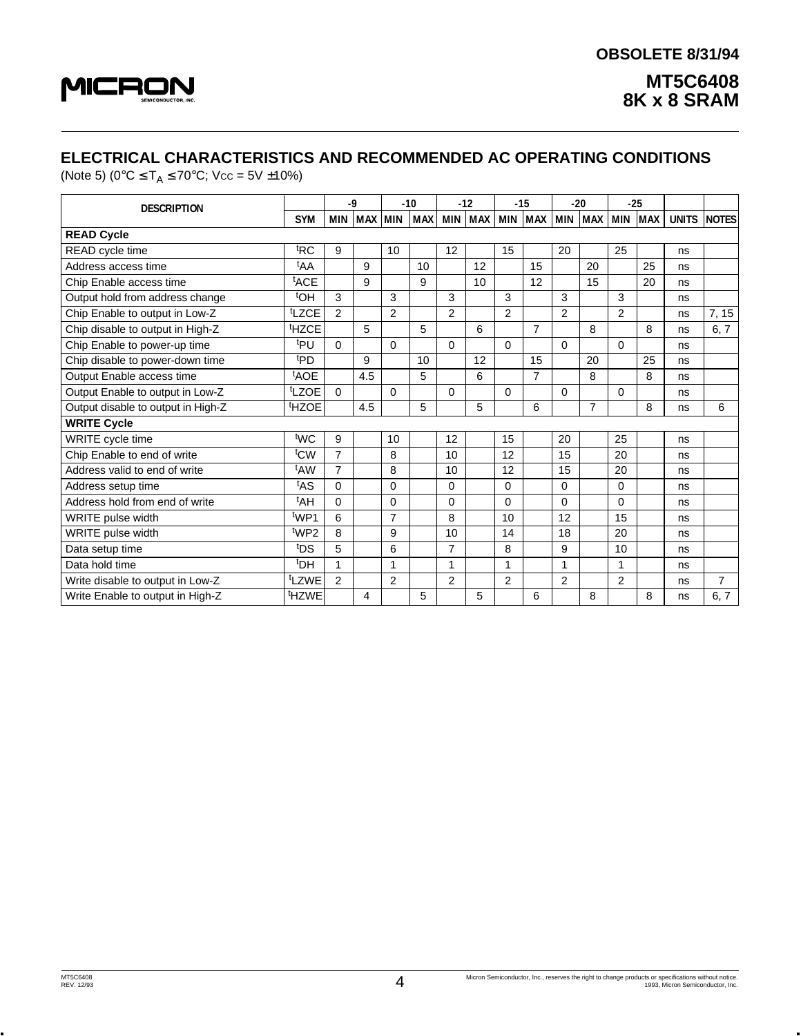

# **ELECTRICAL CHARACTERISTICS AND RECOMMENDED AC OPERATING CONDITIONS**

(Note 5) ( $0^{\circ}$ C  $\leq$  T<sub>A</sub>  $\leq$  70 $^{\circ}$ C; Vcc = 5V ±10%)

| <b>DESCRIPTION</b>                 |                   |                | -9         |                | $-10$ |                | $-12$ |                | $-15$          |                | $-20$          |                | $-25$      |              |                |
|------------------------------------|-------------------|----------------|------------|----------------|-------|----------------|-------|----------------|----------------|----------------|----------------|----------------|------------|--------------|----------------|
|                                    | <b>SYM</b>        | <b>MIN</b>     | <b>MAX</b> | <b>MIN</b>     | MAX   | MIN            | MAX   |                | MIN MAX        | MIN            | <b>MAX</b>     | <b>MIN</b>     | <b>MAX</b> | <b>UNITS</b> | <b>NOTES</b>   |
| <b>READ Cycle</b>                  |                   |                |            |                |       |                |       |                |                |                |                |                |            |              |                |
| READ cycle time                    | <sup>t</sup> RC   | 9              |            | 10             |       | 12             |       | 15             |                | 20             |                | 25             |            | ns           |                |
| Address access time                | <sup>t</sup> AA   |                | 9          |                | 10    |                | 12    |                | 15             |                | 20             |                | 25         | ns           |                |
| Chip Enable access time            | <sup>t</sup> ACE  |                | 9          |                | 9     |                | 10    |                | 12             |                | 15             |                | 20         | ns           |                |
| Output hold from address change    | <sup>t</sup> OH   | 3              |            | 3              |       | 3              |       | 3              |                | 3              |                | 3              |            | ns           |                |
| Chip Enable to output in Low-Z     | tLZCE             | 2              |            | $\overline{2}$ |       | $\overline{2}$ |       | $\overline{2}$ |                | $\overline{2}$ |                | $\overline{2}$ |            | ns           | 7, 15          |
| Chip disable to output in High-Z   | <sup>t</sup> HZCE |                | 5          |                | 5     |                | 6     |                | $\overline{7}$ |                | 8              |                | 8          | ns           | 6, 7           |
| Chip Enable to power-up time       | t <sub>PU</sub>   | $\Omega$       |            | $\Omega$       |       | $\Omega$       |       | $\Omega$       |                | $\Omega$       |                | $\Omega$       |            | ns           |                |
| Chip disable to power-down time    | <sup>t</sup> PD   |                | 9          |                | 10    |                | 12    |                | 15             |                | 20             |                | 25         | ns           |                |
| Output Enable access time          | <sup>t</sup> AOE  |                | 4.5        |                | 5     |                | 6     |                | $\overline{7}$ |                | 8              |                | 8          | ns           |                |
| Output Enable to output in Low-Z   | <sup>t</sup> LZOE | $\Omega$       |            | $\Omega$       |       | $\Omega$       |       | $\Omega$       |                | $\Omega$       |                | $\Omega$       |            | ns           |                |
| Output disable to output in High-Z | <sup>t</sup> HZOE |                | 4.5        |                | 5     |                | 5     |                | 6              |                | $\overline{7}$ |                | 8          | ns           | 6              |
| <b>WRITE Cycle</b>                 |                   |                |            |                |       |                |       |                |                |                |                |                |            |              |                |
| WRITE cycle time                   | twc               | 9              |            | 10             |       | 12             |       | 15             |                | 20             |                | 25             |            | ns           |                |
| Chip Enable to end of write        | t <sub>CW</sub>   | $\overline{7}$ |            | 8              |       | 10             |       | 12             |                | 15             |                | 20             |            | ns           |                |
| Address valid to end of write      | <sup>t</sup> AW   | $\overline{7}$ |            | 8              |       | 10             |       | 12             |                | 15             |                | 20             |            | ns           |                |
| Address setup time                 | <sup>t</sup> AS   | $\Omega$       |            | $\Omega$       |       | 0              |       | $\Omega$       |                | $\Omega$       |                | $\Omega$       |            | ns           |                |
| Address hold from end of write     | <sup>t</sup> AH   | $\Omega$       |            | $\Omega$       |       | 0              |       | $\Omega$       |                | $\Omega$       |                | $\Omega$       |            | ns           |                |
| WRITE pulse width                  | t <sub>WP1</sub>  | 6              |            | $\overline{7}$ |       | 8              |       | 10             |                | 12             |                | 15             |            | ns           |                |
| WRITE pulse width                  | t <sub>WP2</sub>  | 8              |            | 9              |       | 10             |       | 14             |                | 18             |                | 20             |            | ns           |                |
| Data setup time                    | <b>DS</b>         | 5              |            | 6              |       | $\overline{7}$ |       | 8              |                | 9              |                | 10             |            | ns           |                |
| Data hold time                     | <sup>t</sup> DH   | 1              |            | 1              |       | 1              |       | 1              |                | 1              |                | $\mathbf{1}$   |            | ns           |                |
| Write disable to output in Low-Z   | t <sub>LZWE</sub> | $\overline{2}$ |            | $\overline{2}$ |       | 2              |       | 2              |                | $\overline{2}$ |                | $\overline{2}$ |            | ns           | $\overline{7}$ |
| Write Enable to output in High-Z   | <sup>t</sup> HZWE |                | 4          |                | 5     |                | 5     |                | 6              |                | 8              |                | 8          | ns           | 6, 7           |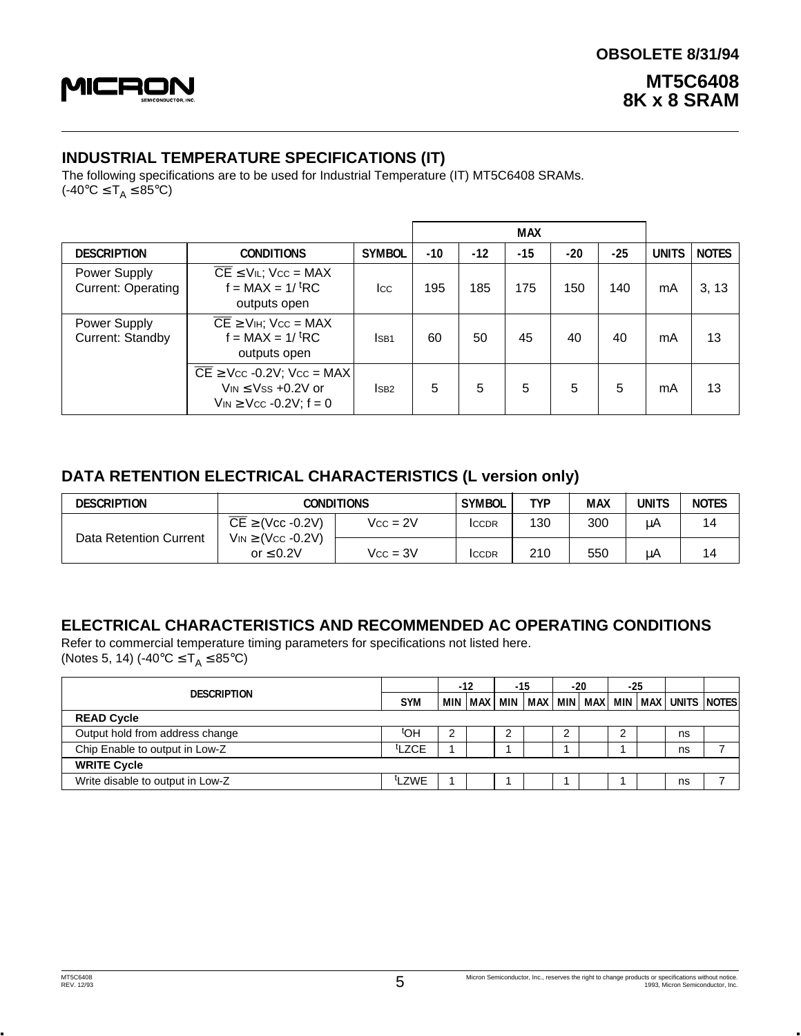

#### **INDUSTRIAL TEMPERATURE SPECIFICATIONS (IT)**

The following specifications are to be used for Industrial Temperature (IT) MT5C6408 SRAMs. (-40°C  $\leq$  T<sub>A</sub> $\leq$  85°C)

|                                           |                                                                                                                |                         |       |       | <b>MAX</b> |       |       |              |              |
|-------------------------------------------|----------------------------------------------------------------------------------------------------------------|-------------------------|-------|-------|------------|-------|-------|--------------|--------------|
| <b>DESCRIPTION</b>                        | <b>CONDITIONS</b>                                                                                              | <b>SYMBOL</b>           | $-10$ | $-12$ | $-15$      | $-20$ | $-25$ | <b>UNITS</b> | <b>NOTES</b> |
| Power Supply<br><b>Current: Operating</b> | $\overline{CE}$ $\leq$ V <sub>IL</sub> ; V <sub>cc</sub> = MAX<br>$f = MAX = 1/t RC$<br>outputs open           | lcc.                    | 195   | 185   | 175        | 150   | 140   | mA           | 3, 13        |
| Power Supply<br>Current: Standby          | $\overline{CE}$ $\geq$ V <sub>IH</sub> ; V <sub>CC</sub> = MAX<br>$f = MAX = 1/t RC$<br>outputs open           | ISB <sub>1</sub>        | 60    | 50    | 45         | 40    | 40    | mA           | 13           |
|                                           | $\overline{CE}$ ≥ Vcc -0.2V; Vcc = MAX<br>$V_{IN} \leq V_{SS} + 0.2V$ or<br>$V_{IN} \geq V_{CC} -0.2V$ ; f = 0 | $\overline{\text{SB2}}$ | 5     | 5     | 5          | 5     | 5     | mA           | 13           |

#### **DATA RETENTION ELECTRICAL CHARACTERISTICS (L version only)**

| <b>DESCRIPTION</b>     | <b>CONDITIONS</b>                              | <b>SYMBOL</b> | TYP          | <b>MAX</b> | <b>UNITS</b> | <b>NOTES</b> |    |
|------------------------|------------------------------------------------|---------------|--------------|------------|--------------|--------------|----|
|                        | $\overline{CE}$ $\geq$ (Vcc -0.2V)             | $Vcc = 2V$    | <b>ICCDR</b> | 130        | 300          | μA           | 14 |
| Data Retention Current | $V_{IN} \geq (V_{CC} -0.2V)$<br>or $\leq 0.2V$ | $Vcc = 3V$    | <b>ICCDR</b> | 210        | 550          | μA           | 14 |

### **ELECTRICAL CHARACTERISTICS AND RECOMMENDED AC OPERATING CONDITIONS**

Refer to commercial temperature timing parameters for specifications not listed here. (Notes 5, 14) (-40 $^{\circ}$ C  $\leq T_{A} \leq 85^{\circ}$ C)

|                                  |                   | $-12$ |  | -15 |                       | $-20$ |  | $-25$ |  |                                      |  |
|----------------------------------|-------------------|-------|--|-----|-----------------------|-------|--|-------|--|--------------------------------------|--|
| <b>DESCRIPTION</b>               |                   |       |  |     | MIN   MAX   MIN   MAX |       |  |       |  | MIN   MAX   MIN   MAX   UNITS  NOTES |  |
| <b>READ Cycle</b>                |                   |       |  |     |                       |       |  |       |  |                                      |  |
| Output hold from address change  | ιЮ <sub>ι</sub>   | ◠     |  | ⌒   |                       | ◠     |  | ◠     |  | ns                                   |  |
| Chip Enable to output in Low-Z   | <sup>t</sup> LZCE |       |  |     |                       |       |  |       |  | ns                                   |  |
| <b>WRITE Cycle</b>               |                   |       |  |     |                       |       |  |       |  |                                      |  |
| Write disable to output in Low-Z | tLZWE             |       |  |     |                       |       |  |       |  | ns                                   |  |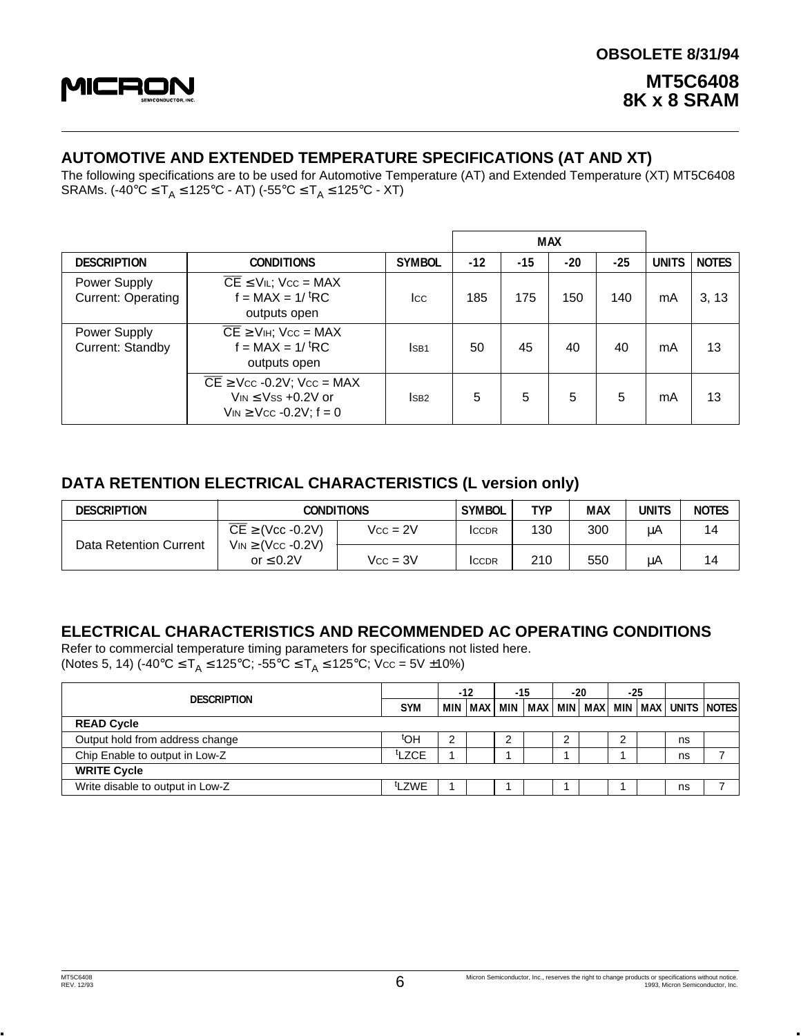

### **AUTOMOTIVE AND EXTENDED TEMPERATURE SPECIFICATIONS (AT AND XT)**

The following specifications are to be used for Automotive Temperature (AT) and Extended Temperature (XT) MT5C6408 SRAMs. (-40°C ≤ T<sub>A</sub> ≤ 125°C - AT) (-55°C ≤ T<sub>A</sub> ≤ 125°C - XT)

|                                           |                                                                                                                     |                  |       |       | <b>MAX</b> |       |              |              |
|-------------------------------------------|---------------------------------------------------------------------------------------------------------------------|------------------|-------|-------|------------|-------|--------------|--------------|
| <b>DESCRIPTION</b>                        | <b>CONDITIONS</b>                                                                                                   | <b>SYMBOL</b>    | $-12$ | $-15$ | $-20$      | $-25$ | <b>UNITS</b> | <b>NOTES</b> |
| Power Supply<br><b>Current: Operating</b> | $\overline{CE}$ $\leq$ V <sub>IL</sub> ; V <sub>cc</sub> = MAX<br>$f = MAX = 1/tRC$<br>outputs open                 | lcc.             | 185   | 175   | 150        | 140   | mA           | 3, 13        |
| Power Supply<br>Current: Standby          | $\overline{CE}$ $\geq$ V <sub>IH</sub> ; V <sub>CC</sub> = MAX<br>$f = MAX = 1/t RC$<br>outputs open                | ISB <sub>1</sub> | 50    | 45    | 40         | 40    | mA           | 13           |
|                                           | $\overline{CE}$ $\geq$ Vcc -0.2V; Vcc = MAX<br>$V_{IN} \leq V_{SS} + 0.2V$ or<br>$V_{IN} \geq V_{CC} -0.2V$ ; f = 0 | <sub>SB2</sub>   | 5     | 5     | 5          | 5     | mA           | 13           |

#### **DATA RETENTION ELECTRICAL CHARACTERISTICS (L version only)**

| <b>DESCRIPTION</b>     | CONDITIONS                                         |            | <b>SYMBOL</b> | TYP | <b>MAX</b> | units | <b>NOTES</b> |
|------------------------|----------------------------------------------------|------------|---------------|-----|------------|-------|--------------|
| Data Retention Current | $\overline{\mathsf{CE}} \geq (\mathsf{Vcc}$ -0.2V) | $Vcc = 2V$ | <b>ICCDR</b>  | 130 | 300        | μA    | 14           |
|                        | $V_{IN} \geq (V_{CC} -0.2V)$<br>or $\leq 0.2V$     | $Vcc = 3V$ | <b>ICCDR</b>  | 210 | 550        | μA    | 14           |

#### **ELECTRICAL CHARACTERISTICS AND RECOMMENDED AC OPERATING CONDITIONS**

Refer to commercial temperature timing parameters for specifications not listed here. (Notes 5, 14) (-40°C  $\leq T_A \leq 125$ °C; -55°C  $\leq T_A \leq 125$ °C; Vcc = 5V ±10%)

|                                  |                   | $-12$ |                       | -15 |  | $-20$ |  | $-25$ |  |                                      |  |
|----------------------------------|-------------------|-------|-----------------------|-----|--|-------|--|-------|--|--------------------------------------|--|
| <b>DESCRIPTION</b>               | <b>SYM</b>        |       | MIN   MAX   MIN   MAX |     |  |       |  |       |  | MIN   MAX   MIN   MAX   UNITS  NOTES |  |
| <b>READ Cycle</b>                |                   |       |                       |     |  |       |  |       |  |                                      |  |
| Output hold from address change  | ιЮμ               |       |                       |     |  |       |  |       |  | ns                                   |  |
| Chip Enable to output in Low-Z   | <sup>t</sup> LZCE |       |                       |     |  |       |  |       |  | ns                                   |  |
| <b>WRITE Cycle</b>               |                   |       |                       |     |  |       |  |       |  |                                      |  |
| Write disable to output in Low-Z | <sup>t</sup> LZWE |       |                       |     |  |       |  |       |  | ns                                   |  |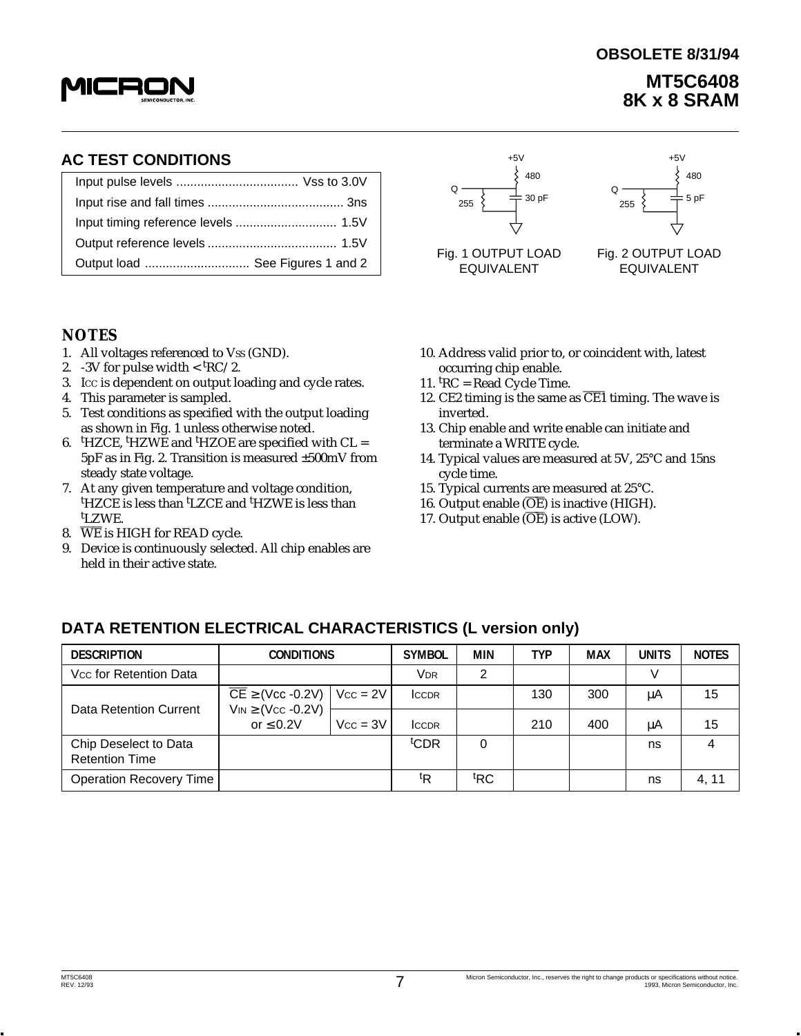

# **MT5C6408 8K x 8 SRAM OBSOLETE 8/31/94**

| Output load  See Figures 1 and 2 |  |  |  |  |  |
|----------------------------------|--|--|--|--|--|

#### **NOTES**

- 1. All voltages referenced to Vss (GND).
- 2.  $-3V$  for pulse width  $<$  <sup>t</sup>RC/2.
- 3. ICC is dependent on output loading and cycle rates.
- 4. This parameter is sampled.
- 5. Test conditions as specified with the output loading as shown in Fig. 1 unless otherwise noted.
- 6. <sup>t</sup> HZCE, t HZWE and t HZOE are specified with CL = 5pF as in Fig. 2. Transition is measured ±500mV from steady state voltage.
- 7. At any given temperature and voltage condition, <sup>t</sup>HZCE is less than <sup>t</sup>LZCE and <sup>t</sup>HZWE is less than t LZWE.
- 8.  $\overline{\text{WE}}$  is HIGH for READ cycle.
- 9. Device is continuously selected. All chip enables are held in their active state.



Q 255 480 5 pF

EQUIVALENT EQUIVALENT

- 10. Address valid prior to, or coincident with, latest occurring chip enable.
- 11. <sup>t</sup> RC = Read Cycle Time.
- 12. CE2 timing is the same as  $\overline{CE1}$  timing. The wave is inverted.
- 13. Chip enable and write enable can initiate and terminate a WRITE cycle.
- 14. Typical values are measured at 5V, 25°C and 15ns cycle time.
- 15. Typical currents are measured at 25°C.
- 16. Output enable  $(\overline{\text{OE}})$  is inactive (HIGH).
- 17. Output enable  $(\overline{OE})$  is active (LOW).

#### **DESCRIPTION CONDITIONS SYMBOL MIN TYP MAX UNITS NOTES** VCC for Retention Data VDR 2 V  $\overline{CE}$  ≥ (Vcc -0.2V) | Vcc = 2V | Iccdr | | 130 | 300 | µA | 15 Data Retention Current  $|V_{IN} \geq (V_{CC} - 0.2V)$ or ≤ 0.2V | Vcc = 3V | Iccɒr | | 210 | 400 | μA | 15 Chip Deselect to Data the state of the state of the state of the state of the state of the state of the state of the state of the state of the state of the state of the state of the state of the state of the state of the s CDR | 0 | | | | | | | | 1S | | | 4 Retention Time **Operation Recovery Time**  ${}^{\text{t}}$ R  $|{}^{\text{t}}$ RC RC | | | | | ns | 4, 11

**DATA RETENTION ELECTRICAL CHARACTERISTICS (L version only)**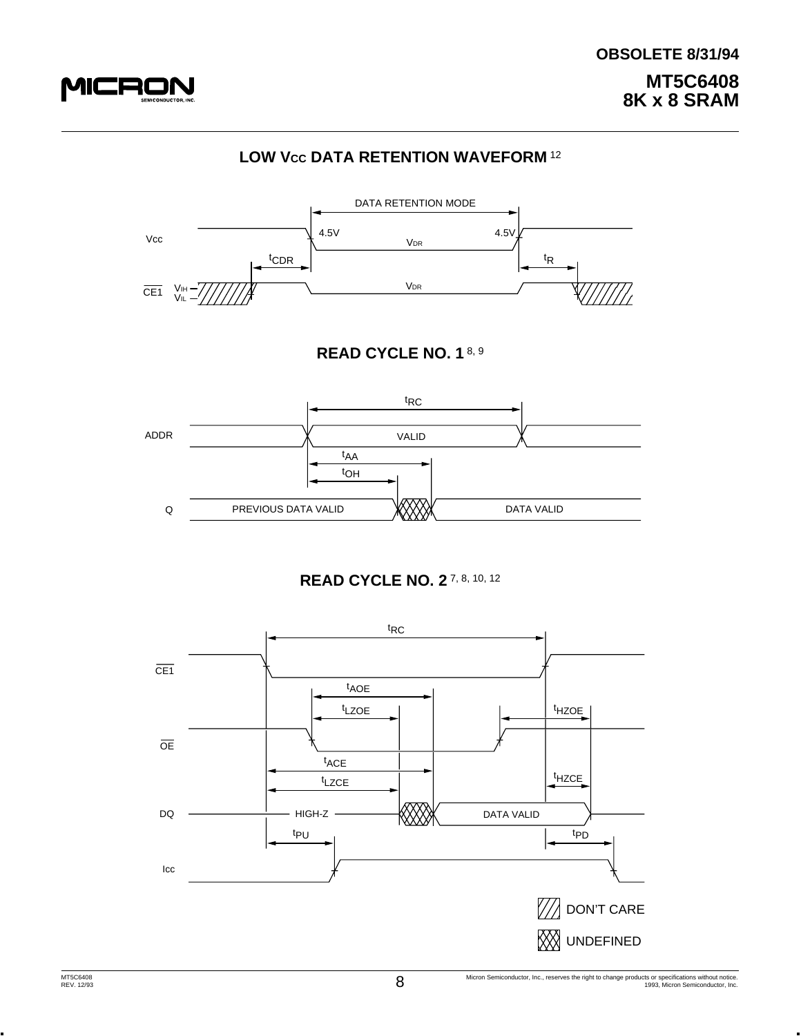

# **LOW Vcc DATA RETENTION WAVEFORM 12**



#### **READ CYCLE NO. 1** 8, 9



#### **READ CYCLE NO. 2** 7, 8, 10, 12

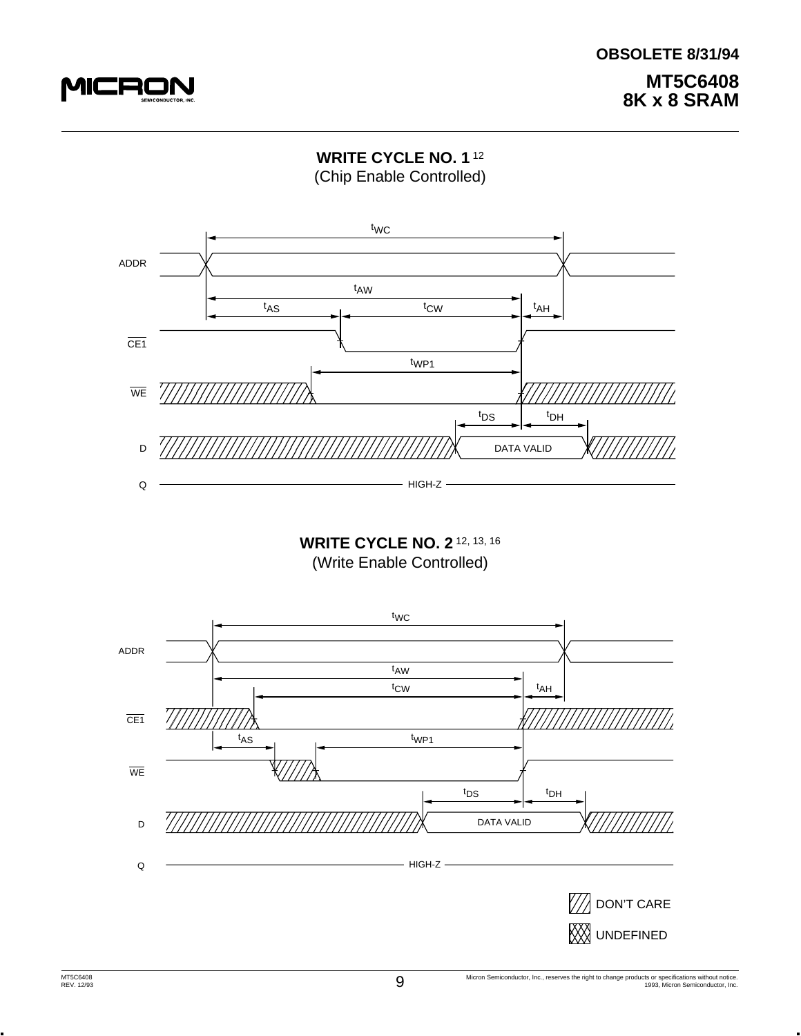





(Write Enable Controlled)

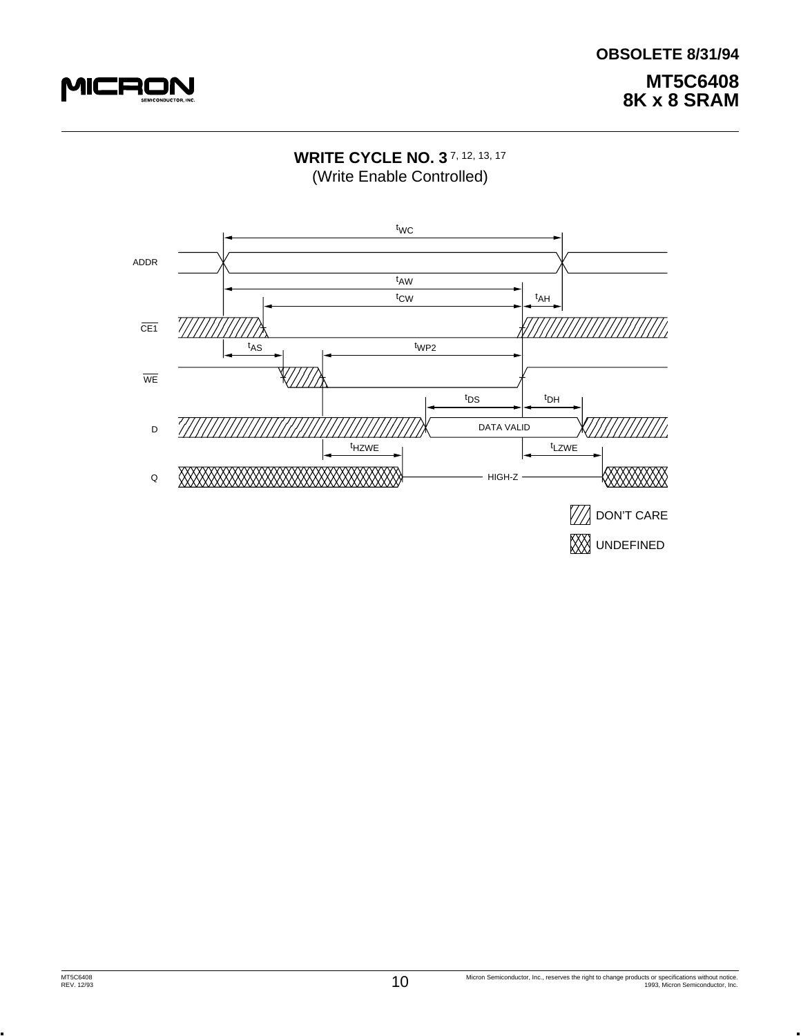

# **WRITE CYCLE NO. 3** 7, 12, 13, 17 (Write Enable Controlled)

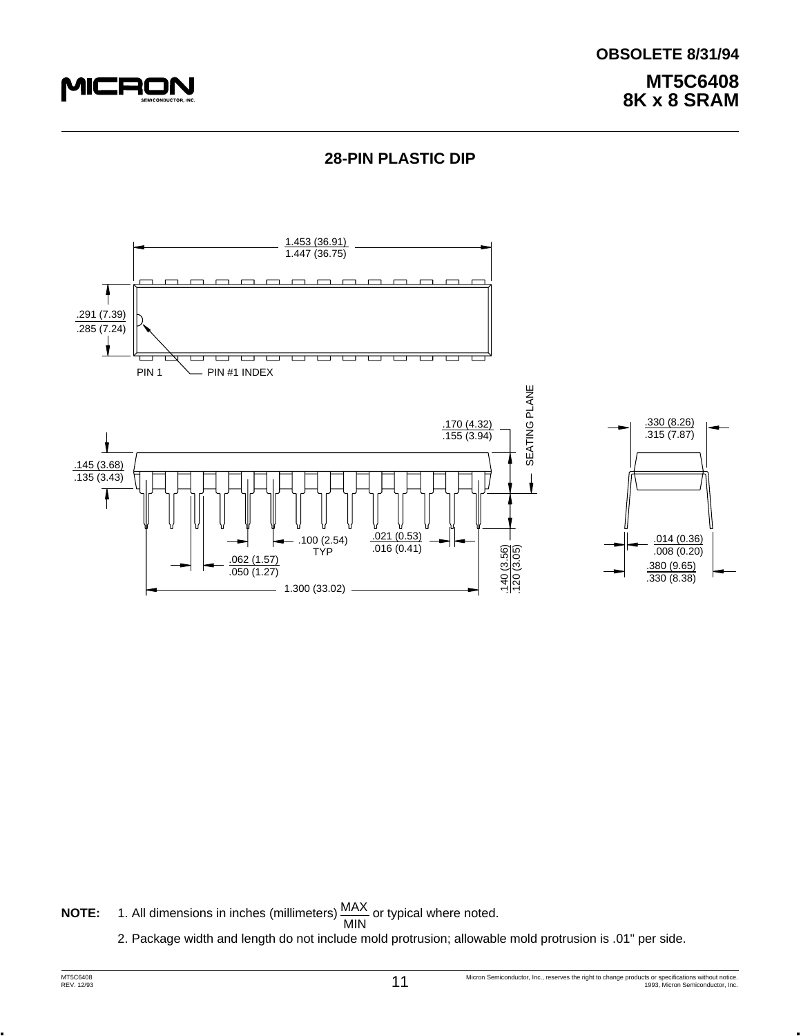





**NOTE:** 1. All dimensions in inches (millimeters)  $\frac{MAX}{MIN}$  or typical where noted.

2. Package width and length do not include mold protrusion; allowable mold protrusion is .01" per side.